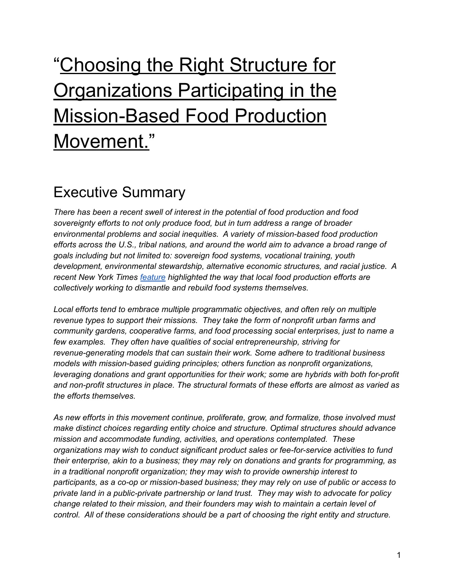# "Choosing the Right Structure for **Organizations Participating in the** Mission-Based Food Production Movement."

# Executive Summary

*There has been a recent swell of interest in the potential of food production and food sovereignty efforts to not only produce food, but in turn address a range of broader environmental problems and social inequities. A variety of mission-based food production efforts across the U.S., tribal nations, and around the world aim to advance a broad range of goals including but not limited to: sovereign food systems, vocational training, youth development, environmental stewardship, alternative economic structures, and racial justice. A recent New York Times [feature](https://www.nytimes.com/2021/02/19/t-magazine/food-security-activists.html) highlighted the way that local food production efforts are collectively working to dismantle and rebuild food systems themselves.*

*Local efforts tend to embrace multiple programmatic objectives, and often rely on multiple revenue types to support their missions. They take the form of nonprofit urban farms and community gardens, cooperative farms, and food processing social enterprises, just to name a few examples. They often have qualities of social entrepreneurship, striving for revenue-generating models that can sustain their work. Some adhere to traditional business models with mission-based guiding principles; others function as nonprofit organizations, leveraging donations and grant opportunities for their work; some are hybrids with both for-profit and non-profit structures in place. The structural formats of these efforts are almost as varied as the efforts themselves.*

*As new efforts in this movement continue, proliferate, grow, and formalize, those involved must make distinct choices regarding entity choice and structure. Optimal structures should advance mission and accommodate funding, activities, and operations contemplated. These organizations may wish to conduct significant product sales or fee-for-service activities to fund their enterprise, akin to a business; they may rely on donations and grants for programming, as in a traditional nonprofit organization; they may wish to provide ownership interest to participants, as a co-op or mission-based business; they may rely on use of public or access to private land in a public-private partnership or land trust. They may wish to advocate for policy change related to their mission, and their founders may wish to maintain a certain level of control. All of these considerations should be a part of choosing the right entity and structure.*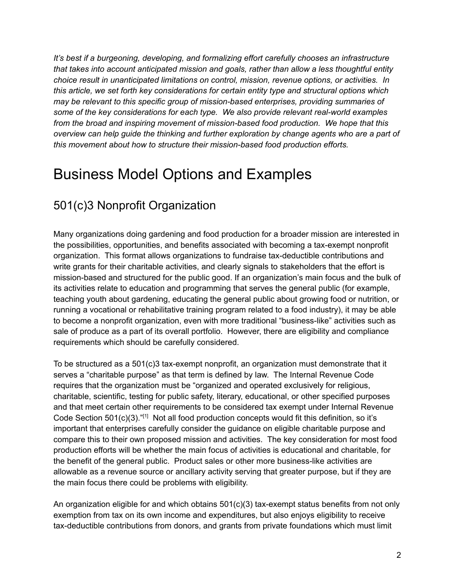*It's best if a burgeoning, developing, and formalizing effort carefully chooses an infrastructure that takes into account anticipated mission and goals, rather than allow a less thoughtful entity choice result in unanticipated limitations on control, mission, revenue options, or activities. In this article, we set forth key considerations for certain entity type and structural options which may be relevant to this specific group of mission-based enterprises, providing summaries of some of the key considerations for each type. We also provide relevant real-world examples from the broad and inspiring movement of mission-based food production. We hope that this overview can help guide the thinking and further exploration by change agents who are a part of this movement about how to structure their mission-based food production efforts.*

# Business Model Options and Examples

# 501(c)3 Nonprofit Organization

Many organizations doing gardening and food production for a broader mission are interested in the possibilities, opportunities, and benefits associated with becoming a tax-exempt nonprofit organization. This format allows organizations to fundraise tax-deductible contributions and write grants for their charitable activities, and clearly signals to stakeholders that the effort is mission-based and structured for the public good. If an organization's main focus and the bulk of its activities relate to education and programming that serves the general public (for example, teaching youth about gardening, educating the general public about growing food or nutrition, or running a vocational or rehabilitative training program related to a food industry), it may be able to become a nonprofit organization, even with more traditional "business-like" activities such as sale of produce as a part of its overall portfolio. However, there are eligibility and compliance requirements which should be carefully considered.

To be structured as a 501(c)3 tax-exempt nonprofit, an organization must demonstrate that it serves a "charitable purpose" as that term is defined by law. The Internal Revenue Code requires that the organization must be "organized and operated exclusively for religious, charitable, scientific, testing for public safety, literary, educational, or other specified purposes and that meet certain other requirements to be considered tax exempt under Internal Revenue Code Section  $501(c)(3)$ ."<sup>[1]</sup> Not all food production concepts would fit this definition, so it's important that enterprises carefully consider the guidance on eligible charitable purpose and compare this to their own proposed mission and activities. The key consideration for most food production efforts will be whether the main focus of activities is educational and charitable, for the benefit of the general public. Product sales or other more business-like activities are allowable as a revenue source or ancillary activity serving that greater purpose, but if they are the main focus there could be problems with eligibility.

An organization eligible for and which obtains  $501(c)(3)$  tax-exempt status benefits from not only exemption from tax on its own income and expenditures, but also enjoys eligibility to receive tax-deductible contributions from donors, and grants from private foundations which must limit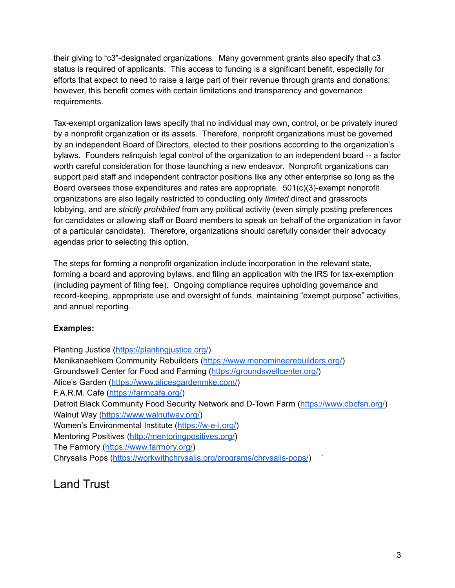their giving to "c3"-designated organizations. Many government grants also specify that c3 status is required of applicants. This access to funding is a significant benefit, especially for efforts that expect to need to raise a large part of their revenue through grants and donations; however, this benefit comes with certain limitations and transparency and governance requirements.

Tax-exempt organization laws specify that no individual may own, control, or be privately inured by a nonprofit organization or its assets. Therefore, nonprofit organizations must be governed by an independent Board of Directors, elected to their positions according to the organization's bylaws. Founders relinquish legal control of the organization to an independent board -- a factor worth careful consideration for those launching a new endeavor. Nonprofit organizations can support paid staff and independent contractor positions like any other enterprise so long as the Board oversees those expenditures and rates are appropriate. 501(c)(3)-exempt nonprofit organizations are also legally restricted to conducting only *limited* direct and grassroots lobbying, and are *strictly prohibited* from any political activity (even simply posting preferences for candidates or allowing staff or Board members to speak on behalf of the organization in favor of a particular candidate). Therefore, organizations should carefully consider their advocacy agendas prior to selecting this option.

The steps for forming a nonprofit organization include incorporation in the relevant state, forming a board and approving bylaws, and filing an application with the IRS for tax-exemption (including payment of filing fee). Ongoing compliance requires upholding governance and record-keeping, appropriate use and oversight of funds, maintaining "exempt purpose" activities, and annual reporting.

#### **Examples:**

Planting Justice (<https://plantingjustice.org/>) Menikanaehkem Community Rebuilders ([https://www.menomineerebuilders.org/\)](https://www.menomineerebuilders.org/) Groundswell Center for Food and Farming (<https://groundswellcenter.org/>) Alice's Garden (<https://www.alicesgardenmke.com/>) F.A.R.M. Cafe [\(https://farmcafe.org/\)](https://farmcafe.org/) Detroit Black Community Food Security Network and D-Town Farm [\(https://www.dbcfsn.org/\)](https://www.dbcfsn.org/) Walnut Way [\(https://www.walnutway.org/\)](https://www.walnutway.org/) Women's Environmental Institute ([https://w-e-i.org/\)](https://w-e-i.org/) Mentoring Positives ([http://mentoringpositives.org/\)](http://mentoringpositives.org/) The Farmory (<https://www.farmory.org/>) Chrysalis Pops [\(https://workwithchrysalis.org/programs/chrysalis-pops/](https://workwithchrysalis.org/programs/chrysalis-pops/)) `

Land Trust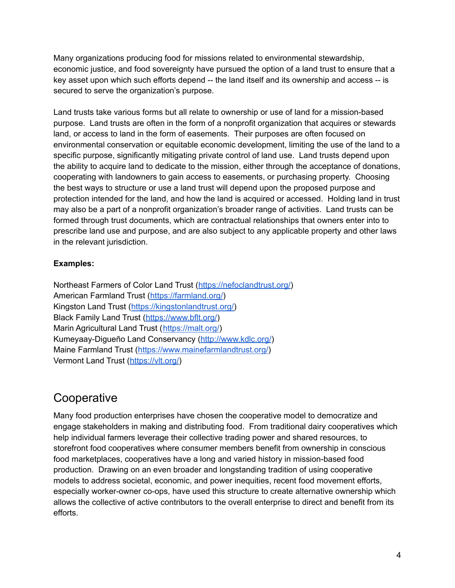Many organizations producing food for missions related to environmental stewardship, economic justice, and food sovereignty have pursued the option of a land trust to ensure that a key asset upon which such efforts depend -- the land itself and its ownership and access -- is secured to serve the organization's purpose.

Land trusts take various forms but all relate to ownership or use of land for a mission-based purpose. Land trusts are often in the form of a nonprofit organization that acquires or stewards land, or access to land in the form of easements. Their purposes are often focused on environmental conservation or equitable economic development, limiting the use of the land to a specific purpose, significantly mitigating private control of land use. Land trusts depend upon the ability to acquire land to dedicate to the mission, either through the acceptance of donations, cooperating with landowners to gain access to easements, or purchasing property. Choosing the best ways to structure or use a land trust will depend upon the proposed purpose and protection intended for the land, and how the land is acquired or accessed. Holding land in trust may also be a part of a nonprofit organization's broader range of activities. Land trusts can be formed through trust documents, which are contractual relationships that owners enter into to prescribe land use and purpose, and are also subject to any applicable property and other laws in the relevant jurisdiction.

#### **Examples:**

Northeast Farmers of Color Land Trust (<https://nefoclandtrust.org/>) American Farmland Trust [\(https://farmland.org/](https://farmland.org/)) Kingston Land Trust ([https://kingstonlandtrust.org/\)](https://kingstonlandtrust.org/) Black Family Land Trust [\(https://www.bflt.org/](https://www.bflt.org/)) Marin Agricultural Land Trust (<https://malt.org/>) Kumeyaay-Digueño Land Conservancy (<http://www.kdlc.org/>) Maine Farmland Trust (<https://www.mainefarmlandtrust.org/>) Vermont Land Trust ([https://vlt.org/\)](https://vlt.org/)

### **Cooperative**

Many food production enterprises have chosen the cooperative model to democratize and engage stakeholders in making and distributing food. From traditional dairy cooperatives which help individual farmers leverage their collective trading power and shared resources, to storefront food cooperatives where consumer members benefit from ownership in conscious food marketplaces, cooperatives have a long and varied history in mission-based food production. Drawing on an even broader and longstanding tradition of using cooperative models to address societal, economic, and power inequities, recent food movement efforts, especially worker-owner co-ops, have used this structure to create alternative ownership which allows the collective of active contributors to the overall enterprise to direct and benefit from its efforts.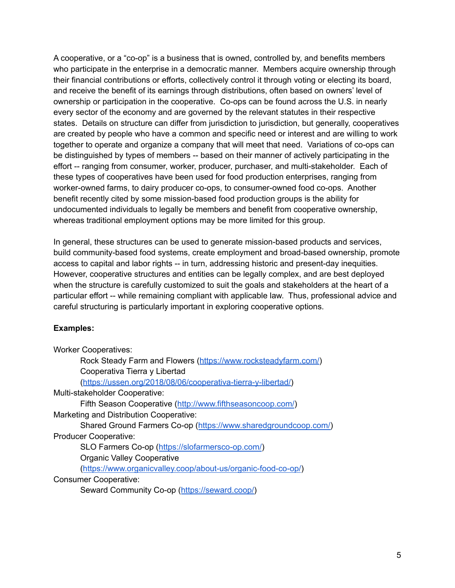A cooperative, or a "co-op" is a business that is owned, controlled by, and benefits members who participate in the enterprise in a democratic manner. Members acquire ownership through their financial contributions or efforts, collectively control it through voting or electing its board, and receive the benefit of its earnings through distributions, often based on owners' level of ownership or participation in the cooperative. Co-ops can be found across the U.S. in nearly every sector of the economy and are governed by the relevant statutes in their respective states. Details on structure can differ from jurisdiction to jurisdiction, but generally, cooperatives are created by people who have a common and specific need or interest and are willing to work together to operate and organize a company that will meet that need. Variations of co-ops can be distinguished by types of members -- based on their manner of actively participating in the effort -- ranging from consumer, worker, producer, purchaser, and multi-stakeholder. Each of these types of cooperatives have been used for food production enterprises, ranging from worker-owned farms, to dairy producer co-ops, to consumer-owned food co-ops. Another benefit recently cited by some mission-based food production groups is the ability for undocumented individuals to legally be members and benefit from cooperative ownership, whereas traditional employment options may be more limited for this group.

In general, these structures can be used to generate mission-based products and services, build community-based food systems, create employment and broad-based ownership, promote access to capital and labor rights -- in turn, addressing historic and present-day inequities. However, cooperative structures and entities can be legally complex, and are best deployed when the structure is carefully customized to suit the goals and stakeholders at the heart of a particular effort -- while remaining compliant with applicable law. Thus, professional advice and careful structuring is particularly important in exploring cooperative options.

#### **Examples:**

| <b>Worker Cooperatives:</b>                                     |
|-----------------------------------------------------------------|
| Rock Steady Farm and Flowers (https://www.rocksteadyfarm.com/)  |
| Cooperativa Tierra y Libertad                                   |
| (https://ussen.org/2018/08/06/cooperativa-tierra-y-libertad/)   |
| Multi-stakeholder Cooperative:                                  |
| Fifth Season Cooperative (http://www.fifthseasoncoop.com/)      |
| Marketing and Distribution Cooperative:                         |
| Shared Ground Farmers Co-op (https://www.sharedgroundcoop.com/) |
| <b>Producer Cooperative:</b>                                    |
| SLO Farmers Co-op (https://slofarmersco-op.com/)                |
| <b>Organic Valley Cooperative</b>                               |
| (https://www.organicvalley.coop/about-us/organic-food-co-op/)   |
| <b>Consumer Cooperative:</b>                                    |
| Seward Community Co-op (https://seward.coop/)                   |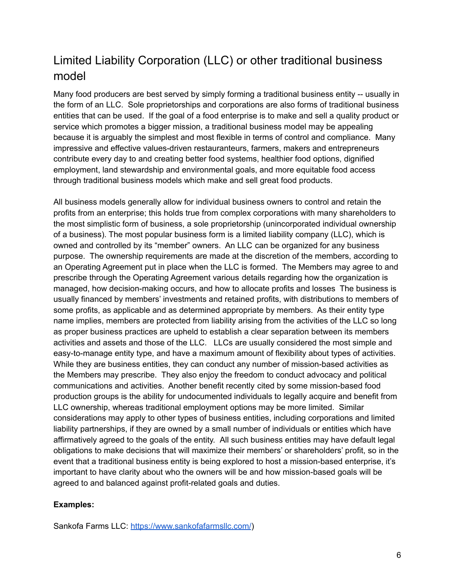# Limited Liability Corporation (LLC) or other traditional business model

Many food producers are best served by simply forming a traditional business entity -- usually in the form of an LLC. Sole proprietorships and corporations are also forms of traditional business entities that can be used. If the goal of a food enterprise is to make and sell a quality product or service which promotes a bigger mission, a traditional business model may be appealing because it is arguably the simplest and most flexible in terms of control and compliance. Many impressive and effective values-driven restauranteurs, farmers, makers and entrepreneurs contribute every day to and creating better food systems, healthier food options, dignified employment, land stewardship and environmental goals, and more equitable food access through traditional business models which make and sell great food products.

All business models generally allow for individual business owners to control and retain the profits from an enterprise; this holds true from complex corporations with many shareholders to the most simplistic form of business, a sole proprietorship (unincorporated individual ownership of a business). The most popular business form is a limited liability company (LLC), which is owned and controlled by its "member" owners. An LLC can be organized for any business purpose. The ownership requirements are made at the discretion of the members, according to an Operating Agreement put in place when the LLC is formed. The Members may agree to and prescribe through the Operating Agreement various details regarding how the organization is managed, how decision-making occurs, and how to allocate profits and losses The business is usually financed by members' investments and retained profits, with distributions to members of some profits, as applicable and as determined appropriate by members. As their entity type name implies, members are protected from liability arising from the activities of the LLC so long as proper business practices are upheld to establish a clear separation between its members activities and assets and those of the LLC. LLCs are usually considered the most simple and easy-to-manage entity type, and have a maximum amount of flexibility about types of activities. While they are business entities, they can conduct any number of mission-based activities as the Members may prescribe. They also enjoy the freedom to conduct advocacy and political communications and activities. Another benefit recently cited by some mission-based food production groups is the ability for undocumented individuals to legally acquire and benefit from LLC ownership, whereas traditional employment options may be more limited. Similar considerations may apply to other types of business entities, including corporations and limited liability partnerships, if they are owned by a small number of individuals or entities which have affirmatively agreed to the goals of the entity. All such business entities may have default legal obligations to make decisions that will maximize their members' or shareholders' profit, so in the event that a traditional business entity is being explored to host a mission-based enterprise, it's important to have clarity about who the owners will be and how mission-based goals will be agreed to and balanced against profit-related goals and duties.

#### **Examples:**

Sankofa Farms LLC: <https://www.sankofafarmsllc.com/>)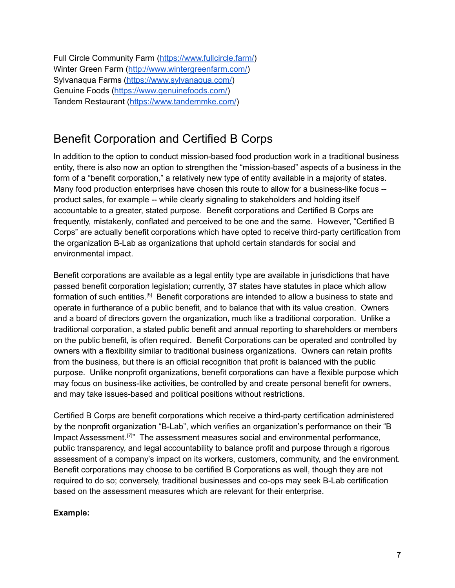Full Circle Community Farm ([https://www.fullcircle.farm/\)](https://www.fullcircle.farm/) Winter Green Farm ([http://www.wintergreenfarm.com/\)](http://www.wintergreenfarm.com/) Sylvanaqua Farms [\(https://www.sylvanaqua.com/](https://www.sylvanaqua.com/)) Genuine Foods (<https://www.genuinefoods.com/>) Tandem Restaurant (<https://www.tandemmke.com/>)

## Benefit Corporation and Certified B Corps

In addition to the option to conduct mission-based food production work in a traditional business entity, there is also now an option to strengthen the "mission-based" aspects of a business in the form of a "benefit corporation," a relatively new type of entity available in a majority of states. Many food production enterprises have chosen this route to allow for a business-like focus - product sales, for example -- while clearly signaling to stakeholders and holding itself accountable to a greater, stated purpose. Benefit corporations and Certified B Corps are frequently, mistakenly, conflated and perceived to be one and the same. However, "Certified B Corps" are actually benefit corporations which have opted to receive third-party certification from the organization B-Lab as organizations that uphold certain standards for social and environmental impact.

Benefit corporations are available as a legal entity type are available in jurisdictions that have passed benefit corporation legislation; currently, 37 states have statutes in place which allow formation of such entities.<sup>[5]</sup> Benefit corporations are intended to allow a business to state and operate in furtherance of a public benefit, and to balance that with its value creation. Owners and a board of directors govern the organization, much like a traditional corporation. Unlike a traditional corporation, a stated public benefit and annual reporting to shareholders or members on the public benefit, is often required. Benefit Corporations can be operated and controlled by owners with a flexibility similar to traditional business organizations. Owners can retain profits from the business, but there is an official recognition that profit is balanced with the public purpose. Unlike nonprofit organizations, benefit corporations can have a flexible purpose which may focus on business-like activities, be controlled by and create personal benefit for owners, and may take issues-based and political positions without restrictions.

Certified B Corps are benefit corporations which receive a third-party certification administered by the nonprofit organization "B-Lab", which verifies an organization's performance on their "B Impact Assessment.<sup>[7]</sup>" The assessment measures social and environmental performance, public transparency, and legal accountability to balance profit and purpose through a rigorous assessment of a company's impact on its workers, customers, community, and the environment. Benefit corporations may choose to be certified B Corporations as well, though they are not required to do so; conversely, traditional businesses and co-ops may seek B-Lab certification based on the assessment measures which are relevant for their enterprise.

#### **Example:**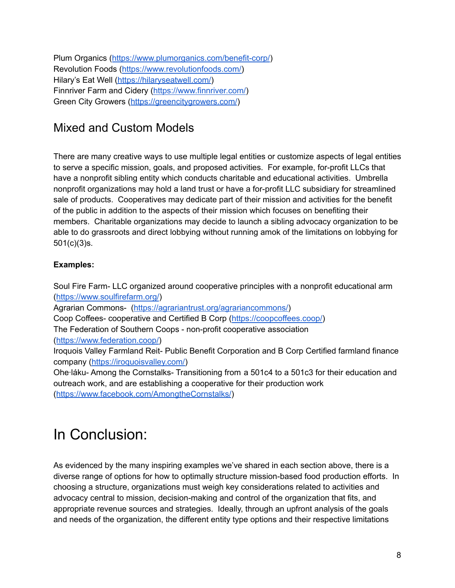Plum Organics (<https://www.plumorganics.com/benefit-corp/>) Revolution Foods [\(https://www.revolutionfoods.com/\)](https://www.revolutionfoods.com/) Hilary's Eat Well [\(https://hilaryseatwell.com/](https://hilaryseatwell.com/)) Finnriver Farm and Cidery [\(https://www.finnriver.com/\)](https://www.finnriver.com/) Green City Growers (<https://greencitygrowers.com/>)

### Mixed and Custom Models

There are many creative ways to use multiple legal entities or customize aspects of legal entities to serve a specific mission, goals, and proposed activities. For example, for-profit LLCs that have a nonprofit sibling entity which conducts charitable and educational activities. Umbrella nonprofit organizations may hold a land trust or have a for-profit LLC subsidiary for streamlined sale of products. Cooperatives may dedicate part of their mission and activities for the benefit of the public in addition to the aspects of their mission which focuses on benefiting their members. Charitable organizations may decide to launch a sibling advocacy organization to be able to do grassroots and direct lobbying without running amok of the limitations on lobbying for 501(c)(3)s.

#### **Examples:**

Soul Fire Farm- LLC organized around cooperative principles with a nonprofit educational arm (<https://www.soulfirefarm.org/>) Agrarian Commons- [\(https://agrariantrust.org/agrariancommons/\)](https://agrariantrust.org/agrariancommons/) Coop Coffees- cooperative and Certified B Corp ([https://coopcoffees.coop/\)](https://coopcoffees.coop/) The Federation of Southern Coops - non-profit cooperative association ([https://www.federation.coop/\)](https://www.federation.coop/) Iroquois Valley Farmland Reit- Public Benefit Corporation and B Corp Certified farmland finance company [\(https://iroquoisvalley.com/\)](https://iroquoisvalley.com/) Ohe∙láku- Among the Cornstalks- Transitioning from a 501c4 to a 501c3 for their education and outreach work, and are establishing a cooperative for their production work (<https://www.facebook.com/AmongtheCornstalks/>)

# In Conclusion:

As evidenced by the many inspiring examples we've shared in each section above, there is a diverse range of options for how to optimally structure mission-based food production efforts. In choosing a structure, organizations must weigh key considerations related to activities and advocacy central to mission, decision-making and control of the organization that fits, and appropriate revenue sources and strategies. Ideally, through an upfront analysis of the goals and needs of the organization, the different entity type options and their respective limitations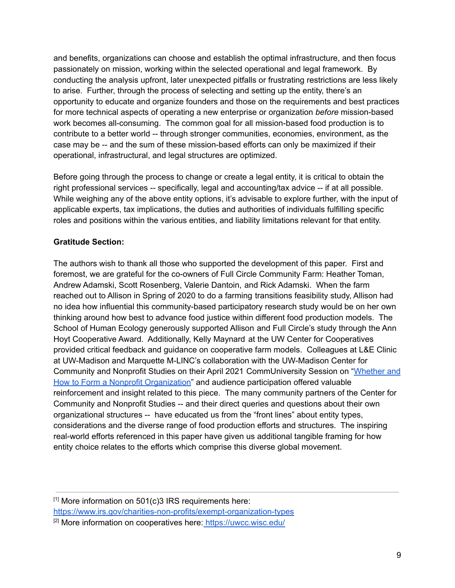and benefits, organizations can choose and establish the optimal infrastructure, and then focus passionately on mission, working within the selected operational and legal framework. By conducting the analysis upfront, later unexpected pitfalls or frustrating restrictions are less likely to arise. Further, through the process of selecting and setting up the entity, there's an opportunity to educate and organize founders and those on the requirements and best practices for more technical aspects of operating a new enterprise or organization *before* mission-based work becomes all-consuming. The common goal for all mission-based food production is to contribute to a better world -- through stronger communities, economies, environment, as the case may be -- and the sum of these mission-based efforts can only be maximized if their operational, infrastructural, and legal structures are optimized.

Before going through the process to change or create a legal entity, it is critical to obtain the right professional services -- specifically, legal and accounting/tax advice -- if at all possible. While weighing any of the above entity options, it's advisable to explore further, with the input of applicable experts, tax implications, the duties and authorities of individuals fulfilling specific roles and positions within the various entities, and liability limitations relevant for that entity.

#### **Gratitude Section:**

The authors wish to thank all those who supported the development of this paper. First and foremost, we are grateful for the co-owners of Full Circle Community Farm: Heather Toman, Andrew Adamski, Scott Rosenberg, Valerie Dantoin, and Rick Adamski. When the farm reached out to Allison in Spring of 2020 to do a farming transitions feasibility study, Allison had no idea how influential this community-based participatory research study would be on her own thinking around how best to advance food justice within different food production models. The School of Human Ecology generously supported Allison and Full Circle's study through the Ann Hoyt Cooperative Award. Additionally, Kelly Maynard at the UW Center for Cooperatives provided critical feedback and guidance on cooperative farm models. Colleagues at L&E Clinic at UW-Madison and Marquette M-LINC's collaboration with the UW-Madison Center for Community and Nonprofit Studies on their April 2021 CommUniversity Session on ["Whether](https://commnsknowledge.wisc.edu/2021/06/14/recording-available-for-communiversity-session-whether-and-how-to-form-a-nonprofit/) and How to Form a Nonprofit [Organization](https://commnsknowledge.wisc.edu/2021/06/14/recording-available-for-communiversity-session-whether-and-how-to-form-a-nonprofit/)" and audience participation offered valuable reinforcement and insight related to this piece. The many community partners of the Center for Community and Nonprofit Studies -- and their direct queries and questions about their own organizational structures -- have educated us from the "front lines" about entity types, considerations and the diverse range of food production efforts and structures. The inspiring real-world efforts referenced in this paper have given us additional tangible framing for how entity choice relates to the efforts which comprise this diverse global movement.

 $[1]$  More information on 501 $(c)$ 3 IRS requirements here[:](https://www.irs.gov/charities-non-profits/exempt-organization-types) <https://www.irs.gov/charities-non-profits/exempt-organization-types> [2] More information on cooperatives here: <https://uwcc.wisc.edu/>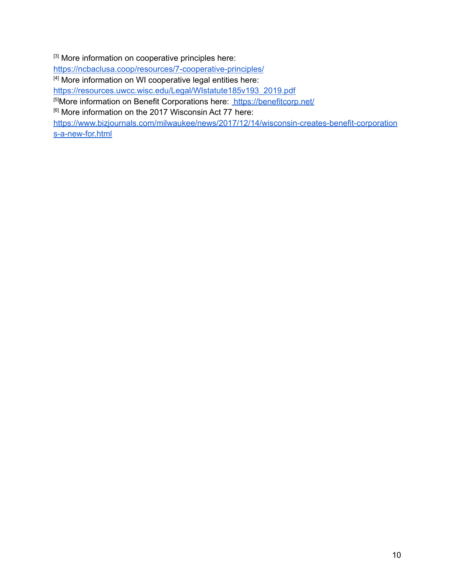[3] More information on cooperative principles here:

<https://ncbaclusa.coop/resources/7-cooperative-principles/>

[4] More information on WI cooperative legal entities here:

[https://resources.uwcc.wisc.edu/Legal/WIstatute185v193\\_2019.pdf](https://resources.uwcc.wisc.edu/Legal/WIstatute185v193_2019.pdf)

[5] More information on Benefit Corporations here: <https://benefitcorp.net/>

[6] More information on the 2017 Wisconsin Act 77 here:

[https://www.bizjournals.com/milwaukee/news/2017/12/14/wisconsin-creates-benefit-corporation](https://www.bizjournals.com/milwaukee/news/2017/12/14/wisconsin-creates-benefit-corporations-a-new-for.html) [s-a-new-for.html](https://www.bizjournals.com/milwaukee/news/2017/12/14/wisconsin-creates-benefit-corporations-a-new-for.html)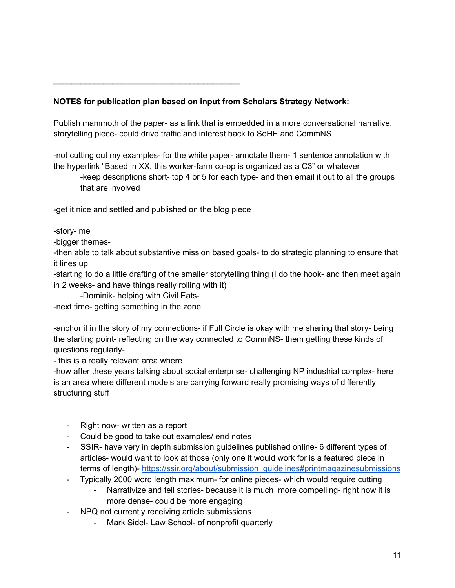#### **NOTES for publication plan based on input from Scholars Strategy Network:**

Publish mammoth of the paper- as a link that is embedded in a more conversational narrative, storytelling piece- could drive traffic and interest back to SoHE and CommNS

-not cutting out my examples- for the white paper- annotate them- 1 sentence annotation with the hyperlink "Based in XX, this worker-farm co-op is organized as a C3" or whatever

-keep descriptions short- top 4 or 5 for each type- and then email it out to all the groups that are involved

-get it nice and settled and published on the blog piece

\_\_\_\_\_\_\_\_\_\_\_\_\_\_\_\_\_\_\_\_\_\_\_\_\_\_\_\_\_\_\_\_\_\_\_\_\_\_\_\_\_

-story- me

-bigger themes-

-then able to talk about substantive mission based goals- to do strategic planning to ensure that it lines up

-starting to do a little drafting of the smaller storytelling thing (I do the hook- and then meet again in 2 weeks- and have things really rolling with it)

-Dominik- helping with Civil Eats-

-next time- getting something in the zone

-anchor it in the story of my connections- if Full Circle is okay with me sharing that story- being the starting point- reflecting on the way connected to CommNS- them getting these kinds of questions regularly-

- this is a really relevant area where

-how after these years talking about social enterprise- challenging NP industrial complex- here is an area where different models are carrying forward really promising ways of differently structuring stuff

- Right now- written as a report
- Could be good to take out examples/ end notes
- SSIR- have very in depth submission guidelines published online- 6 different types of articles- would want to look at those (only one it would work for is a featured piece in terms of length)- [https://ssir.org/about/submission\\_guidelines#printmagazinesubmissions](https://ssir.org/about/submission_guidelines#printmagazinesubmissions)
- Typically 2000 word length maximum- for online pieces- which would require cutting
	- Narrativize and tell stories- because it is much more compelling- right now it is more dense- could be more engaging
- NPQ not currently receiving article submissions
	- Mark Sidel- Law School- of nonprofit quarterly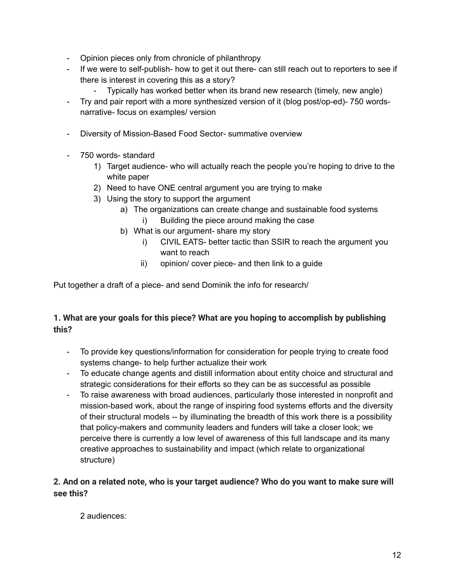- Opinion pieces only from chronicle of philanthropy
- If we were to self-publish- how to get it out there- can still reach out to reporters to see if there is interest in covering this as a story?
	- Typically has worked better when its brand new research (timely, new angle)
- Try and pair report with a more synthesized version of it (blog post/op-ed)- 750 wordsnarrative- focus on examples/ version
- Diversity of Mission-Based Food Sector- summative overview
- 750 words- standard
	- 1) Target audience- who will actually reach the people you're hoping to drive to the white paper
	- 2) Need to have ONE central argument you are trying to make
	- 3) Using the story to support the argument
		- a) The organizations can create change and sustainable food systems i) Building the piece around making the case
		- b) What is our argument- share my story
			- i) CIVIL EATS- better tactic than SSIR to reach the argument you want to reach
			- ii) opinion/ cover piece- and then link to a guide

Put together a draft of a piece- and send Dominik the info for research/

#### **1. What are your goals for this piece? What are you hoping to accomplish by publishing this?**

- To provide key questions/information for consideration for people trying to create food systems change- to help further actualize their work
- To educate change agents and distill information about entity choice and structural and strategic considerations for their efforts so they can be as successful as possible
- To raise awareness with broad audiences, particularly those interested in nonprofit and mission-based work, about the range of inspiring food systems efforts and the diversity of their structural models -- by illuminating the breadth of this work there is a possibility that policy-makers and community leaders and funders will take a closer look; we perceive there is currently a low level of awareness of this full landscape and its many creative approaches to sustainability and impact (which relate to organizational structure)

#### **2. And on a related note, who is your target audience? Who do you want to make sure will see this?**

2 audiences: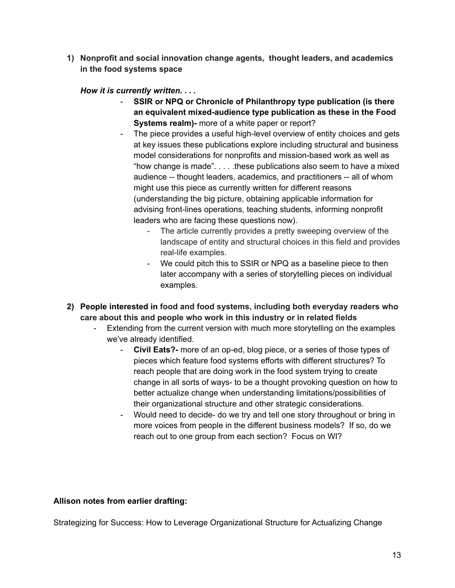**1) Nonprofit and social innovation change agents, thought leaders, and academics in the food systems space**

*How it is currently written. . . .*

- **SSIR or NPQ or Chronicle of Philanthropy type publication (is there an equivalent mixed-audience type publication as these in the Food Systems realm)-** more of a white paper or report?
- The piece provides a useful high-level overview of entity choices and gets at key issues these publications explore including structural and business model considerations for nonprofits and mission-based work as well as "how change is made" $\dots$  these publications also seem to have a mixed audience -- thought leaders, academics, and practitioners -- all of whom might use this piece as currently written for different reasons (understanding the big picture, obtaining applicable information for advising front-lines operations, teaching students, informing nonprofit leaders who are facing these questions now).
	- The article currently provides a pretty sweeping overview of the landscape of entity and structural choices in this field and provides real-life examples.
	- We could pitch this to SSIR or NPQ as a baseline piece to then later accompany with a series of storytelling pieces on individual examples.
- **2) People interested in food and food systems, including both everyday readers who care about this and people who work in this industry or in related fields**
	- Extending from the current version with much more storytelling on the examples we've already identified.
		- **Civil Eats?-** more of an op-ed, blog piece, or a series of those types of pieces which feature food systems efforts with different structures? To reach people that are doing work in the food system trying to create change in all sorts of ways- to be a thought provoking question on how to better actualize change when understanding limitations/possibilities of their organizational structure and other strategic considerations.
		- Would need to decide- do we try and tell one story throughout or bring in more voices from people in the different business models? If so, do we reach out to one group from each section? Focus on WI?

#### **Allison notes from earlier drafting:**

Strategizing for Success: How to Leverage Organizational Structure for Actualizing Change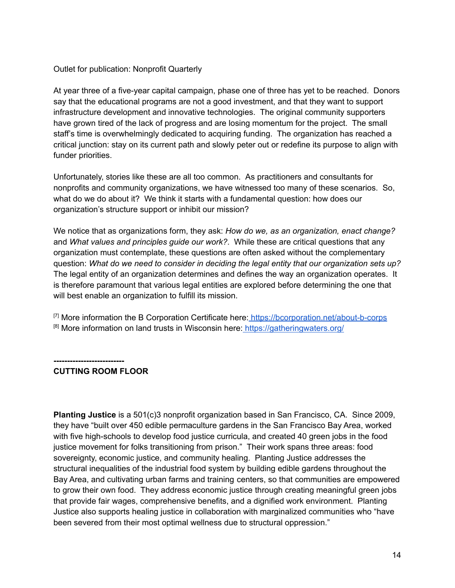#### Outlet for publication: Nonprofit Quarterly

At year three of a five-year capital campaign, phase one of three has yet to be reached. Donors say that the educational programs are not a good investment, and that they want to support infrastructure development and innovative technologies. The original community supporters have grown tired of the lack of progress and are losing momentum for the project. The small staff's time is overwhelmingly dedicated to acquiring funding. The organization has reached a critical junction: stay on its current path and slowly peter out or redefine its purpose to align with funder priorities.

Unfortunately, stories like these are all too common. As practitioners and consultants for nonprofits and community organizations, we have witnessed too many of these scenarios. So, what do we do about it? We think it starts with a fundamental question: how does our organization's structure support or inhibit our mission?

We notice that as organizations form, they ask: *How do we, as an organization, enact change?* and *What values and principles guide our work?*. While these are critical questions that any organization must contemplate, these questions are often asked without the complementary question: *What do we need to consider in deciding the legal entity that our organization sets up?* The legal entity of an organization determines and defines the way an organization operates. It is therefore paramount that various legal entities are explored before determining the one that will best enable an organization to fulfill its mission.

 $<sup>[7]</sup>$  More information the B Corporation Certificate here: <https://bcorporation.net/about-b-corps></sup> [8] More information on land trusts in Wisconsin here: <https://gatheringwaters.org/>

**-------------------------- CUTTING ROOM FLOOR**

**Planting Justice** is a 501(c)3 nonprofit organization based in San Francisco, CA. Since 2009, they have "built over 450 edible permaculture gardens in the San Francisco Bay Area, worked with five high-schools to develop food justice curricula, and created 40 green jobs in the food justice movement for folks transitioning from prison." Their work spans three areas: food sovereignty, economic justice, and community healing. Planting Justice addresses the structural inequalities of the industrial food system by building edible gardens throughout the Bay Area, and cultivating urban farms and training centers, so that communities are empowered to grow their own food. They address economic justice through creating meaningful green jobs that provide fair wages, comprehensive benefits, and a dignified work environment. Planting Justice also supports healing justice in collaboration with marginalized communities who "have been severed from their most optimal wellness due to structural oppression."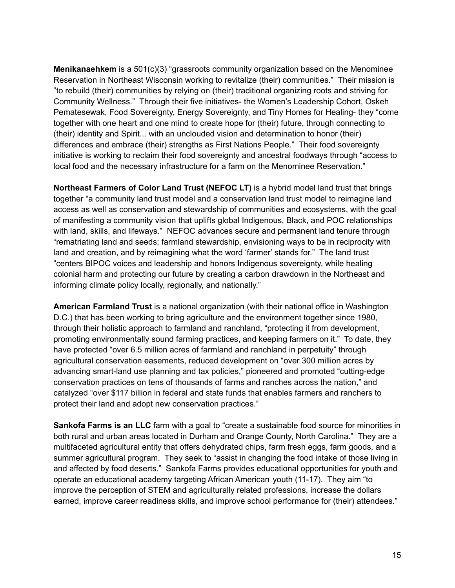**Menikanaehkem** is a 501(c)(3) "grassroots community organization based on the Menominee Reservation in Northeast Wisconsin working to revitalize (their) communities." Their mission is "to rebuild (their) communities by relying on (their) traditional organizing roots and striving for Community Wellness." Through their five initiatives- the Women's Leadership Cohort, Oskeh Pematesewak, Food Sovereignty, Energy Sovereignty, and Tiny Homes for Healing- they "come together with one heart and one mind to create hope for (their) future, through connecting to (their) identity and Spirit... with an unclouded vision and determination to honor (their) differences and embrace (their) strengths as First Nations People." Their food sovereignty initiative is working to reclaim their food sovereignty and ancestral foodways through "access to local food and the necessary infrastructure for a farm on the Menominee Reservation."

**Northeast Farmers of Color Land Trust (NEFOC LT)** is a hybrid model land trust that brings together "a community land trust model and a conservation land trust model to reimagine land access as well as conservation and stewardship of communities and ecosystems, with the goal of manifesting a community vision that uplifts global Indigenous, Black, and POC relationships with land, skills, and lifeways." NEFOC advances secure and permanent land tenure through "rematriating land and seeds; farmland stewardship, envisioning ways to be in reciprocity with land and creation, and by reimagining what the word 'farmer' stands for." The land trust "centers BIPOC voices and leadership and honors Indigenous sovereignty, while healing colonial harm and protecting our future by creating a carbon drawdown in the Northeast and informing climate policy locally, regionally, and nationally."

**American Farmland Trust** is a national organization (with their national office in Washington D.C.) that has been working to bring agriculture and the environment together since 1980, through their holistic approach to farmland and ranchland, "protecting it from development, promoting environmentally sound farming practices, and keeping farmers on it." To date, they have protected "over 6.5 million acres of farmland and ranchland in perpetuity" through agricultural conservation easements, reduced development on "over 300 million acres by advancing smart-land use planning and tax policies," pioneered and promoted "cutting-edge conservation practices on tens of thousands of farms and ranches across the nation," and catalyzed "over \$117 billion in federal and state funds that enables farmers and ranchers to protect their land and adopt new conservation practices."

**Sankofa Farms is an LLC** farm with a goal to "create a sustainable food source for minorities in both rural and urban areas located in Durham and Orange County, North Carolina." They are a multifaceted agricultural entity that offers dehydrated chips, farm fresh eggs, farm goods, and a summer agricultural program. They seek to "assist in changing the food intake of those living in and affected by food deserts." Sankofa Farms provides educational opportunities for youth and operate an educational academy targeting African American youth (11-17). They aim "to improve the perception of STEM and agriculturally related professions, increase the dollars earned, improve career readiness skills, and improve school performance for (their) attendees."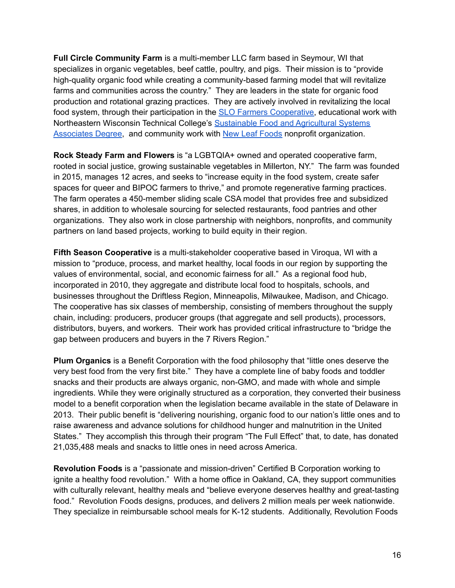**Full Circle Community Farm** is a multi-member LLC farm based in Seymour, WI that specializes in organic vegetables, beef cattle, poultry, and pigs. Their mission is to "provide high-quality organic food while creating a community-based farming model that will revitalize farms and communities across the country." They are leaders in the state for organic food production and rotational grazing practices. They are actively involved in revitalizing the local food system, through their participation in the SLO Farmers [Cooperative,](https://slofarmersco-op.com/) educational work with Northeastern Wisconsin Technical College's [Sustainable](https://www.nwtc.edu/academics/programs/fields-of-interest/agriculture-food-and-natural-resources/agribusiness-systems/sustainable-food-and-agriculture-systems) Food and Agricultural Systems [Associates](https://www.nwtc.edu/academics/programs/fields-of-interest/agriculture-food-and-natural-resources/agribusiness-systems/sustainable-food-and-agriculture-systems) Degree, and community work with New Leaf [Foods](https://newleaffoods.org/) nonprofit organization.

**Rock Steady Farm and Flowers** is "a LGBTQIA+ owned and operated cooperative farm, rooted in social justice, growing sustainable vegetables in Millerton, NY." The farm was founded in 2015, manages 12 acres, and seeks to "increase equity in the food system, create safer spaces for queer and BIPOC farmers to thrive," and promote regenerative farming practices. The farm operates a 450-member sliding scale CSA model that provides free and subsidized shares, in addition to wholesale sourcing for selected restaurants, food pantries and other organizations. They also work in close partnership with neighbors, nonprofits, and community partners on land based projects, working to build equity in their region.

**Fifth Season Cooperative** is a multi-stakeholder cooperative based in Viroqua, WI with a mission to "produce, process, and market healthy, local foods in our region by supporting the values of environmental, social, and economic fairness for all." As a regional food hub, incorporated in 2010, they aggregate and distribute local food to hospitals, schools, and businesses throughout the Driftless Region, Minneapolis, Milwaukee, Madison, and Chicago. The cooperative has six classes of membership, consisting of members throughout the supply chain, including: producers, producer groups (that aggregate and sell products), processors, distributors, buyers, and workers. Their work has provided critical infrastructure to "bridge the gap between producers and buyers in the 7 Rivers Region."

**Plum Organics** is a Benefit Corporation with the food philosophy that "little ones deserve the very best food from the very first bite." They have a complete line of baby foods and toddler snacks and their products are always organic, non-GMO, and made with whole and simple ingredients. While they were originally structured as a corporation, they converted their business model to a benefit corporation when the legislation became available in the state of Delaware in 2013. Their public benefit is "delivering nourishing, organic food to our nation's little ones and to raise awareness and advance solutions for childhood hunger and malnutrition in the United States." They accomplish this through their program "The Full Effect" that, to date, has donated 21,035,488 meals and snacks to little ones in need across America.

**Revolution Foods** is a "passionate and mission-driven" Certified B Corporation working to ignite a healthy food revolution." With a home office in Oakland, CA, they support communities with culturally relevant, healthy meals and "believe everyone deserves healthy and great-tasting food." Revolution Foods designs, produces, and delivers 2 million meals per week nationwide. They specialize in reimbursable school meals for K-12 students. Additionally, Revolution Foods